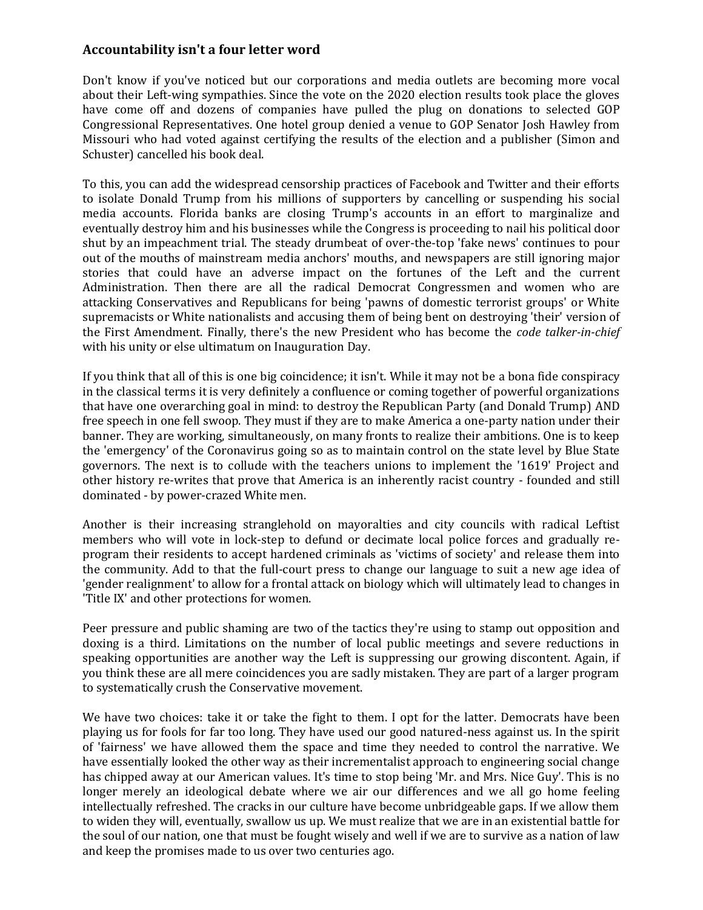## **Accountability isn't a four letter word**

Don't know if you've noticed but our corporations and media outlets are becoming more vocal about their Left-wing sympathies. Since the vote on the 2020 election results took place the gloves have come off and dozens of companies have pulled the plug on donations to selected GOP Congressional Representatives. One hotel group denied a venue to GOP Senator Josh Hawley from Missouri who had voted against certifying the results of the election and a publisher (Simon and Schuster) cancelled his book deal.

To this, you can add the widespread censorship practices of Facebook and Twitter and their efforts to isolate Donald Trump from his millions of supporters by cancelling or suspending his social media accounts. Florida banks are closing Trump's accounts in an effort to marginalize and eventually destroy him and his businesses while the Congress is proceeding to nail his political door shut by an impeachment trial. The steady drumbeat of over-the-top 'fake news' continues to pour out of the mouths of mainstream media anchors' mouths, and newspapers are still ignoring major stories that could have an adverse impact on the fortunes of the Left and the current Administration. Then there are all the radical Democrat Congressmen and women who are attacking Conservatives and Republicans for being 'pawns of domestic terrorist groups' or White supremacists or White nationalists and accusing them of being bent on destroying 'their' version of the First Amendment. Finally, there's the new President who has become the *code talker-in-chief* with his unity or else ultimatum on Inauguration Day.

If you think that all of this is one big coincidence; it isn't. While it may not be a bona fide conspiracy in the classical terms it is very definitely a confluence or coming together of powerful organizations that have one overarching goal in mind: to destroy the Republican Party (and Donald Trump) AND free speech in one fell swoop. They must if they are to make America a one-party nation under their banner. They are working, simultaneously, on many fronts to realize their ambitions. One is to keep the 'emergency' of the Coronavirus going so as to maintain control on the state level by Blue State governors. The next is to collude with the teachers unions to implement the '1619' Project and other history re-writes that prove that America is an inherently racist country - founded and still dominated - by power-crazed White men.

Another is their increasing stranglehold on mayoralties and city councils with radical Leftist members who will vote in lock-step to defund or decimate local police forces and gradually reprogram their residents to accept hardened criminals as 'victims of society' and release them into the community. Add to that the full-court press to change our language to suit a new age idea of 'gender realignment' to allow for a frontal attack on biology which will ultimately lead to changes in 'Title IX' and other protections for women.

Peer pressure and public shaming are two of the tactics they're using to stamp out opposition and doxing is a third. Limitations on the number of local public meetings and severe reductions in speaking opportunities are another way the Left is suppressing our growing discontent. Again, if you think these are all mere coincidences you are sadly mistaken. They are part of a larger program to systematically crush the Conservative movement.

We have two choices: take it or take the fight to them. I opt for the latter. Democrats have been playing us for fools for far too long. They have used our good natured-ness against us. In the spirit of 'fairness' we have allowed them the space and time they needed to control the narrative. We have essentially looked the other way as their incrementalist approach to engineering social change has chipped away at our American values. It's time to stop being 'Mr. and Mrs. Nice Guy'. This is no longer merely an ideological debate where we air our differences and we all go home feeling intellectually refreshed. The cracks in our culture have become unbridgeable gaps. If we allow them to widen they will, eventually, swallow us up. We must realize that we are in an existential battle for the soul of our nation, one that must be fought wisely and well if we are to survive as a nation of law and keep the promises made to us over two centuries ago.